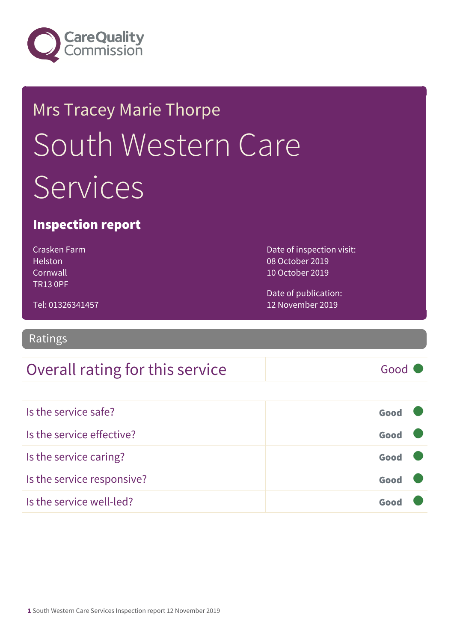

# Mrs Tracey Marie Thorpe South Western Care **Services**

### Inspection report

Crasken Farm Helston Cornwall TR13 0PF

Date of inspection visit: 08 October 2019 10 October 2019

Tel: 01326341457

Date of publication: 12 November 2019

Ratings

### Overall rating for this service Good

Is the service safe? Good Is the service effective? Contact the service effective? Is the service caring? Good Is the service responsive? Good Is the service well-led? Good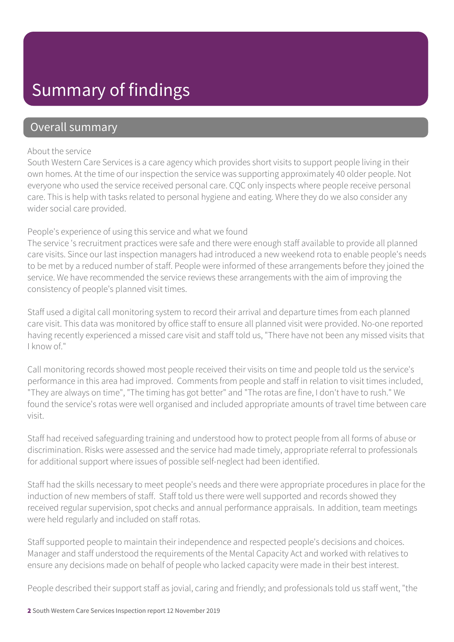### Summary of findings

### Overall summary

#### About the service

South Western Care Services is a care agency which provides short visits to support people living in their own homes. At the time of our inspection the service was supporting approximately 40 older people. Not everyone who used the service received personal care. CQC only inspects where people receive personal care. This is help with tasks related to personal hygiene and eating. Where they do we also consider any wider social care provided.

#### People's experience of using this service and what we found

The service 's recruitment practices were safe and there were enough staff available to provide all planned care visits. Since our last inspection managers had introduced a new weekend rota to enable people's needs to be met by a reduced number of staff. People were informed of these arrangements before they joined the service. We have recommended the service reviews these arrangements with the aim of improving the consistency of people's planned visit times.

Staff used a digital call monitoring system to record their arrival and departure times from each planned care visit. This data was monitored by office staff to ensure all planned visit were provided. No-one reported having recently experienced a missed care visit and staff told us, "There have not been any missed visits that I know of."

Call monitoring records showed most people received their visits on time and people told us the service's performance in this area had improved. Comments from people and staff in relation to visit times included, "They are always on time", "The timing has got better" and "The rotas are fine, I don't have to rush." We found the service's rotas were well organised and included appropriate amounts of travel time between care visit.

Staff had received safeguarding training and understood how to protect people from all forms of abuse or discrimination. Risks were assessed and the service had made timely, appropriate referral to professionals for additional support where issues of possible self-neglect had been identified.

Staff had the skills necessary to meet people's needs and there were appropriate procedures in place for the induction of new members of staff. Staff told us there were well supported and records showed they received regular supervision, spot checks and annual performance appraisals. In addition, team meetings were held regularly and included on staff rotas.

Staff supported people to maintain their independence and respected people's decisions and choices. Manager and staff understood the requirements of the Mental Capacity Act and worked with relatives to ensure any decisions made on behalf of people who lacked capacity were made in their best interest.

People described their support staff as jovial, caring and friendly; and professionals told us staff went, "the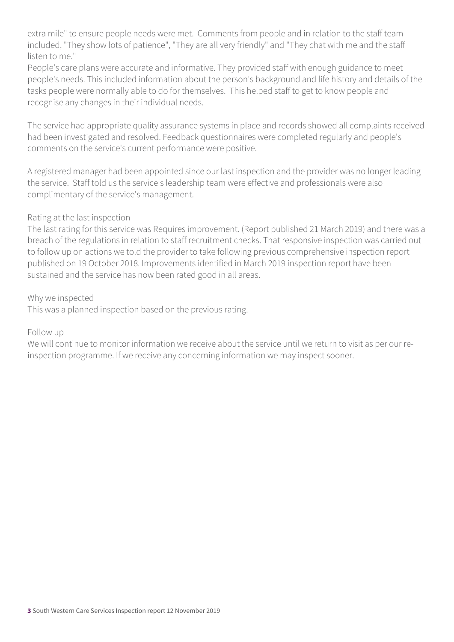extra mile" to ensure people needs were met. Comments from people and in relation to the staff team included, "They show lots of patience", "They are all very friendly" and "They chat with me and the staff listen to me."

People's care plans were accurate and informative. They provided staff with enough guidance to meet people's needs. This included information about the person's background and life history and details of the tasks people were normally able to do for themselves. This helped staff to get to know people and recognise any changes in their individual needs.

The service had appropriate quality assurance systems in place and records showed all complaints received had been investigated and resolved. Feedback questionnaires were completed regularly and people's comments on the service's current performance were positive.

A registered manager had been appointed since our last inspection and the provider was no longer leading the service. Staff told us the service's leadership team were effective and professionals were also complimentary of the service's management.

#### Rating at the last inspection

The last rating for this service was Requires improvement. (Report published 21 March 2019) and there was a breach of the regulations in relation to staff recruitment checks. That responsive inspection was carried out to follow up on actions we told the provider to take following previous comprehensive inspection report published on 19 October 2018. Improvements identified in March 2019 inspection report have been sustained and the service has now been rated good in all areas.

#### Why we inspected

This was a planned inspection based on the previous rating.

#### Follow up

We will continue to monitor information we receive about the service until we return to visit as per our reinspection programme. If we receive any concerning information we may inspect sooner.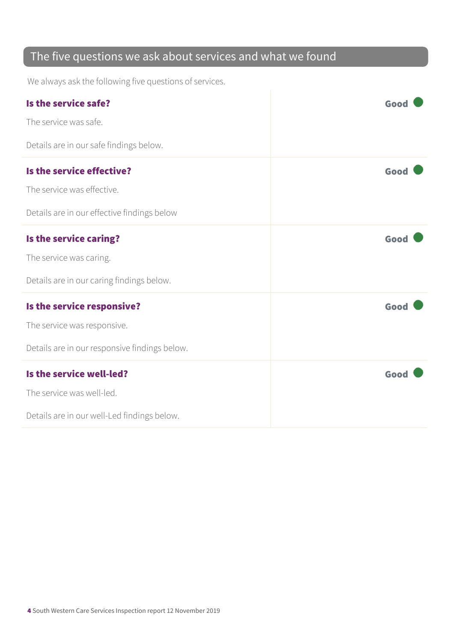### The five questions we ask about services and what we found

We always ask the following five questions of services.

| Is the service safe?                          | Good |
|-----------------------------------------------|------|
| The service was safe.                         |      |
| Details are in our safe findings below.       |      |
| Is the service effective?                     | Good |
| The service was effective.                    |      |
| Details are in our effective findings below   |      |
| Is the service caring?                        | Good |
| The service was caring.                       |      |
| Details are in our caring findings below.     |      |
| Is the service responsive?                    | Good |
| The service was responsive.                   |      |
| Details are in our responsive findings below. |      |
| Is the service well-led?                      | Good |
| The service was well-led.                     |      |
| Details are in our well-Led findings below.   |      |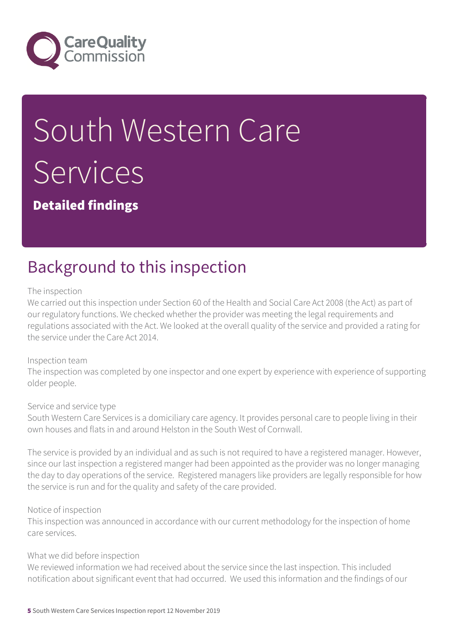

# South Western Care Services

Detailed findings

## Background to this inspection

#### The inspection

We carried out this inspection under Section 60 of the Health and Social Care Act 2008 (the Act) as part of our regulatory functions. We checked whether the provider was meeting the legal requirements and regulations associated with the Act. We looked at the overall quality of the service and provided a rating for the service under the Care Act 2014.

#### Inspection team

The inspection was completed by one inspector and one expert by experience with experience of supporting older people.

#### Service and service type

South Western Care Services is a domiciliary care agency. It provides personal care to people living in their own houses and flats in and around Helston in the South West of Cornwall.

The service is provided by an individual and as such is not required to have a registered manager. However, since our last inspection a registered manger had been appointed as the provider was no longer managing the day to day operations of the service. Registered managers like providers are legally responsible for how the service is run and for the quality and safety of the care provided.

#### Notice of inspection

This inspection was announced in accordance with our current methodology for the inspection of home care services.

#### What we did before inspection

We reviewed information we had received about the service since the last inspection. This included notification about significant event that had occurred. We used this information and the findings of our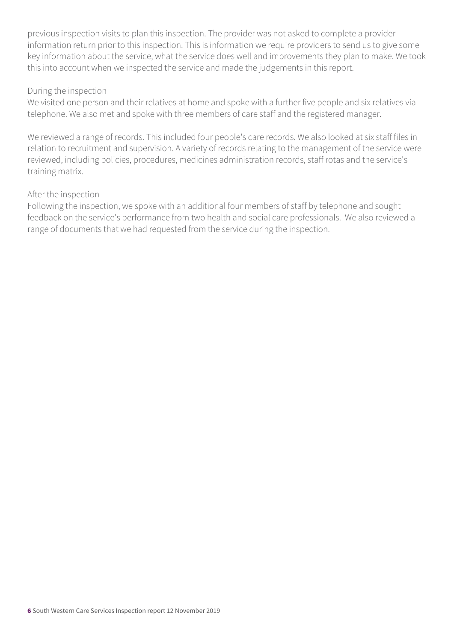previous inspection visits to plan this inspection. The provider was not asked to complete a provider information return prior to this inspection. This is information we require providers to send us to give some key information about the service, what the service does well and improvements they plan to make. We took this into account when we inspected the service and made the judgements in this report.

#### During the inspection

We visited one person and their relatives at home and spoke with a further five people and six relatives via telephone. We also met and spoke with three members of care staff and the registered manager.

We reviewed a range of records. This included four people's care records. We also looked at six staff files in relation to recruitment and supervision. A variety of records relating to the management of the service were reviewed, including policies, procedures, medicines administration records, staff rotas and the service's training matrix.

#### After the inspection

Following the inspection, we spoke with an additional four members of staff by telephone and sought feedback on the service's performance from two health and social care professionals. We also reviewed a range of documents that we had requested from the service during the inspection.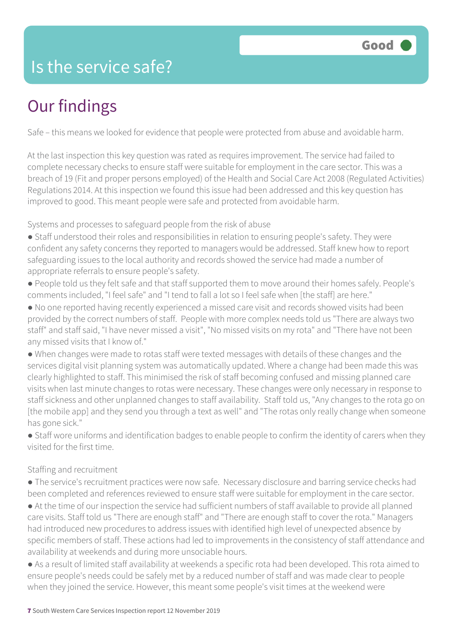### Is the service safe?

# Our findings

Safe – this means we looked for evidence that people were protected from abuse and avoidable harm.

At the last inspection this key question was rated as requires improvement. The service had failed to complete necessary checks to ensure staff were suitable for employment in the care sector. This was a breach of 19 (Fit and proper persons employed) of the Health and Social Care Act 2008 (Regulated Activities) Regulations 2014. At this inspection we found this issue had been addressed and this key question has improved to good. This meant people were safe and protected from avoidable harm.

Systems and processes to safeguard people from the risk of abuse

- Staff understood their roles and responsibilities in relation to ensuring people's safety. They were confident any safety concerns they reported to managers would be addressed. Staff knew how to report safeguarding issues to the local authority and records showed the service had made a number of appropriate referrals to ensure people's safety.
- People told us they felt safe and that staff supported them to move around their homes safely. People's comments included, "I feel safe" and "I tend to fall a lot so I feel safe when [the staff] are here."
- No one reported having recently experienced a missed care visit and records showed visits had been provided by the correct numbers of staff. People with more complex needs told us "There are always two staff" and staff said, "I have never missed a visit", "No missed visits on my rota" and "There have not been any missed visits that I know of."
- When changes were made to rotas staff were texted messages with details of these changes and the services digital visit planning system was automatically updated. Where a change had been made this was clearly highlighted to staff. This minimised the risk of staff becoming confused and missing planned care visits when last minute changes to rotas were necessary. These changes were only necessary in response to staff sickness and other unplanned changes to staff availability. Staff told us, "Any changes to the rota go on [the mobile app] and they send you through a text as well" and "The rotas only really change when someone has gone sick."
- Staff wore uniforms and identification badges to enable people to confirm the identity of carers when they visited for the first time.

#### Staffing and recruitment

● The service's recruitment practices were now safe. Necessary disclosure and barring service checks had been completed and references reviewed to ensure staff were suitable for employment in the care sector. ● At the time of our inspection the service had sufficient numbers of staff available to provide all planned

- care visits. Staff told us "There are enough staff" and "There are enough staff to cover the rota." Managers had introduced new procedures to address issues with identified high level of unexpected absence by specific members of staff. These actions had led to improvements in the consistency of staff attendance and availability at weekends and during more unsociable hours.
- As a result of limited staff availability at weekends a specific rota had been developed. This rota aimed to ensure people's needs could be safely met by a reduced number of staff and was made clear to people when they joined the service. However, this meant some people's visit times at the weekend were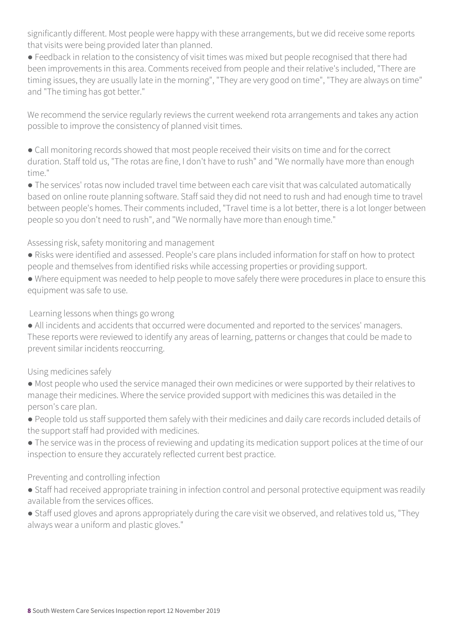significantly different. Most people were happy with these arrangements, but we did receive some reports that visits were being provided later than planned.

● Feedback in relation to the consistency of visit times was mixed but people recognised that there had been improvements in this area. Comments received from people and their relative's included, "There are timing issues, they are usually late in the morning", "They are very good on time", "They are always on time" and "The timing has got better."

We recommend the service regularly reviews the current weekend rota arrangements and takes any action possible to improve the consistency of planned visit times.

● Call monitoring records showed that most people received their visits on time and for the correct duration. Staff told us, "The rotas are fine, I don't have to rush" and "We normally have more than enough time."

● The services' rotas now included travel time between each care visit that was calculated automatically based on online route planning software. Staff said they did not need to rush and had enough time to travel between people's homes. Their comments included, "Travel time is a lot better, there is a lot longer between people so you don't need to rush", and "We normally have more than enough time."

#### Assessing risk, safety monitoring and management

- Risks were identified and assessed. People's care plans included information for staff on how to protect people and themselves from identified risks while accessing properties or providing support.
- Where equipment was needed to help people to move safely there were procedures in place to ensure this equipment was safe to use.

Learning lessons when things go wrong

● All incidents and accidents that occurred were documented and reported to the services' managers. These reports were reviewed to identify any areas of learning, patterns or changes that could be made to prevent similar incidents reoccurring.

#### Using medicines safely

- Most people who used the service managed their own medicines or were supported by their relatives to manage their medicines. Where the service provided support with medicines this was detailed in the person's care plan.
- People told us staff supported them safely with their medicines and daily care records included details of the support staff had provided with medicines.
- The service was in the process of reviewing and updating its medication support polices at the time of our inspection to ensure they accurately reflected current best practice.

#### Preventing and controlling infection

- Staff had received appropriate training in infection control and personal protective equipment was readily available from the services offices.
- Staff used gloves and aprons appropriately during the care visit we observed, and relatives told us, "They always wear a uniform and plastic gloves."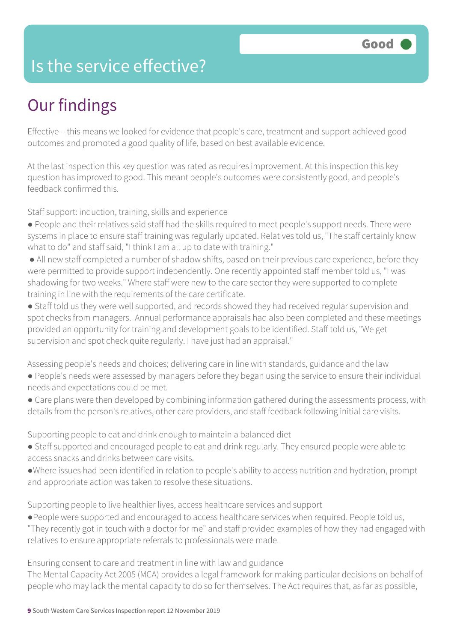### Is the service effective?

# Our findings

Effective – this means we looked for evidence that people's care, treatment and support achieved good outcomes and promoted a good quality of life, based on best available evidence.

At the last inspection this key question was rated as requires improvement. At this inspection this key question has improved to good. This meant people's outcomes were consistently good, and people's feedback confirmed this.

Staff support: induction, training, skills and experience

- People and their relatives said staff had the skills required to meet people's support needs. There were systems in place to ensure staff training was regularly updated. Relatives told us, "The staff certainly know what to do" and staff said, "I think I am all up to date with training."
- All new staff completed a number of shadow shifts, based on their previous care experience, before they were permitted to provide support independently. One recently appointed staff member told us, "I was shadowing for two weeks." Where staff were new to the care sector they were supported to complete training in line with the requirements of the care certificate.
- Staff told us they were well supported, and records showed they had received regular supervision and spot checks from managers. Annual performance appraisals had also been completed and these meetings provided an opportunity for training and development goals to be identified. Staff told us, "We get supervision and spot check quite regularly. I have just had an appraisal."

Assessing people's needs and choices; delivering care in line with standards, guidance and the law

- People's needs were assessed by managers before they began using the service to ensure their individual needs and expectations could be met.
- Care plans were then developed by combining information gathered during the assessments process, with details from the person's relatives, other care providers, and staff feedback following initial care visits.

Supporting people to eat and drink enough to maintain a balanced diet

- Staff supported and encouraged people to eat and drink regularly. They ensured people were able to access snacks and drinks between care visits.
- ●Where issues had been identified in relation to people's ability to access nutrition and hydration, prompt and appropriate action was taken to resolve these situations.

Supporting people to live healthier lives, access healthcare services and support

●People were supported and encouraged to access healthcare services when required. People told us, "They recently got in touch with a doctor for me" and staff provided examples of how they had engaged with relatives to ensure appropriate referrals to professionals were made.

Ensuring consent to care and treatment in line with law and guidance

The Mental Capacity Act 2005 (MCA) provides a legal framework for making particular decisions on behalf of people who may lack the mental capacity to do so for themselves. The Act requires that, as far as possible,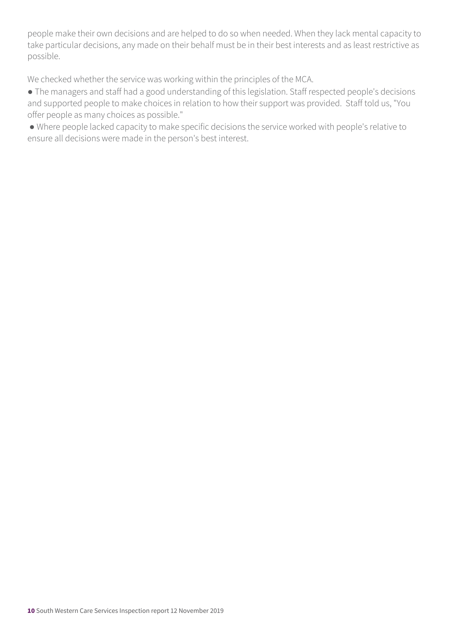people make their own decisions and are helped to do so when needed. When they lack mental capacity to take particular decisions, any made on their behalf must be in their best interests and as least restrictive as possible.

We checked whether the service was working within the principles of the MCA.

- The managers and staff had a good understanding of this legislation. Staff respected people's decisions and supported people to make choices in relation to how their support was provided. Staff told us, "You offer people as many choices as possible."
- Where people lacked capacity to make specific decisions the service worked with people's relative to ensure all decisions were made in the person's best interest.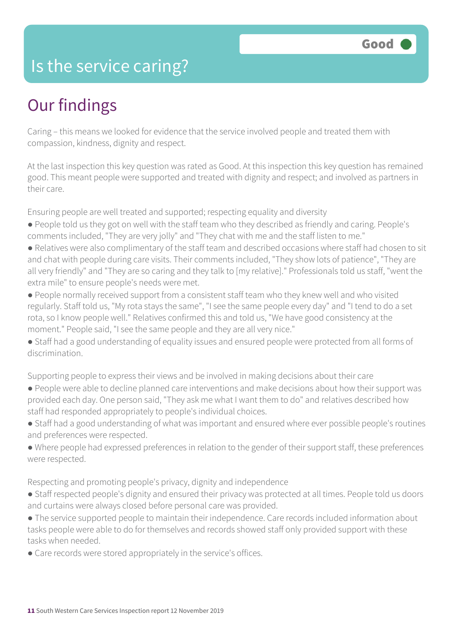### Is the service caring?

### Our findings

Caring – this means we looked for evidence that the service involved people and treated them with compassion, kindness, dignity and respect.

At the last inspection this key question was rated as Good. At this inspection this key question has remained good. This meant people were supported and treated with dignity and respect; and involved as partners in their care.

Ensuring people are well treated and supported; respecting equality and diversity

- People told us they got on well with the staff team who they described as friendly and caring. People's comments included, "They are very jolly" and "They chat with me and the staff listen to me."
- Relatives were also complimentary of the staff team and described occasions where staff had chosen to sit and chat with people during care visits. Their comments included, "They show lots of patience", "They are all very friendly" and "They are so caring and they talk to [my relative]." Professionals told us staff, "went the extra mile" to ensure people's needs were met.
- People normally received support from a consistent staff team who they knew well and who visited regularly. Staff told us, "My rota stays the same", "I see the same people every day" and "I tend to do a set rota, so I know people well." Relatives confirmed this and told us, "We have good consistency at the moment." People said, "I see the same people and they are all very nice."
- Staff had a good understanding of equality issues and ensured people were protected from all forms of discrimination.

Supporting people to express their views and be involved in making decisions about their care

- People were able to decline planned care interventions and make decisions about how their support was provided each day. One person said, "They ask me what I want them to do" and relatives described how staff had responded appropriately to people's individual choices.
- Staff had a good understanding of what was important and ensured where ever possible people's routines and preferences were respected.
- Where people had expressed preferences in relation to the gender of their support staff, these preferences were respected.

Respecting and promoting people's privacy, dignity and independence

- Staff respected people's dignity and ensured their privacy was protected at all times. People told us doors and curtains were always closed before personal care was provided.
- The service supported people to maintain their independence. Care records included information about tasks people were able to do for themselves and records showed staff only provided support with these tasks when needed.
- Care records were stored appropriately in the service's offices.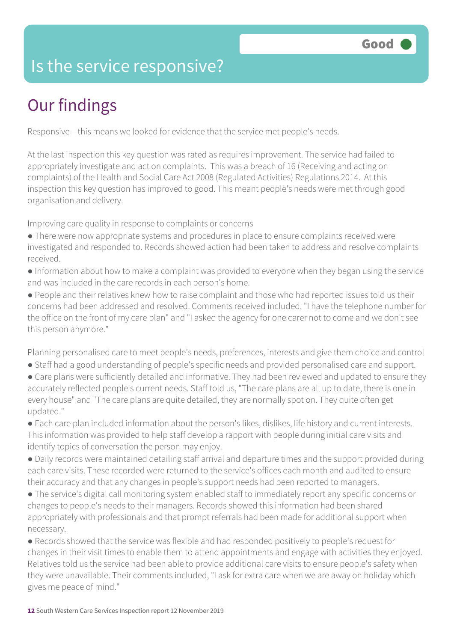### Is the service responsive?

# Our findings

Responsive – this means we looked for evidence that the service met people's needs.

At the last inspection this key question was rated as requires improvement. The service had failed to appropriately investigate and act on complaints. This was a breach of 16 (Receiving and acting on complaints) of the Health and Social Care Act 2008 (Regulated Activities) Regulations 2014. At this inspection this key question has improved to good. This meant people's needs were met through good organisation and delivery.

Improving care quality in response to complaints or concerns

- There were now appropriate systems and procedures in place to ensure complaints received were investigated and responded to. Records showed action had been taken to address and resolve complaints received.
- Information about how to make a complaint was provided to everyone when they began using the service and was included in the care records in each person's home.
- People and their relatives knew how to raise complaint and those who had reported issues told us their concerns had been addressed and resolved. Comments received included, "I have the telephone number for the office on the front of my care plan" and "I asked the agency for one carer not to come and we don't see this person anymore."

Planning personalised care to meet people's needs, preferences, interests and give them choice and control

- Staff had a good understanding of people's specific needs and provided personalised care and support.
- Care plans were sufficiently detailed and informative. They had been reviewed and updated to ensure they accurately reflected people's current needs. Staff told us, "The care plans are all up to date, there is one in every house" and "The care plans are quite detailed, they are normally spot on. They quite often get updated."
- Each care plan included information about the person's likes, dislikes, life history and current interests. This information was provided to help staff develop a rapport with people during initial care visits and identify topics of conversation the person may enjoy.
- Daily records were maintained detailing staff arrival and departure times and the support provided during each care visits. These recorded were returned to the service's offices each month and audited to ensure their accuracy and that any changes in people's support needs had been reported to managers.
- The service's digital call monitoring system enabled staff to immediately report any specific concerns or changes to people's needs to their managers. Records showed this information had been shared appropriately with professionals and that prompt referrals had been made for additional support when necessary.
- Records showed that the service was flexible and had responded positively to people's request for changes in their visit times to enable them to attend appointments and engage with activities they enjoyed. Relatives told us the service had been able to provide additional care visits to ensure people's safety when they were unavailable. Their comments included, "I ask for extra care when we are away on holiday which gives me peace of mind."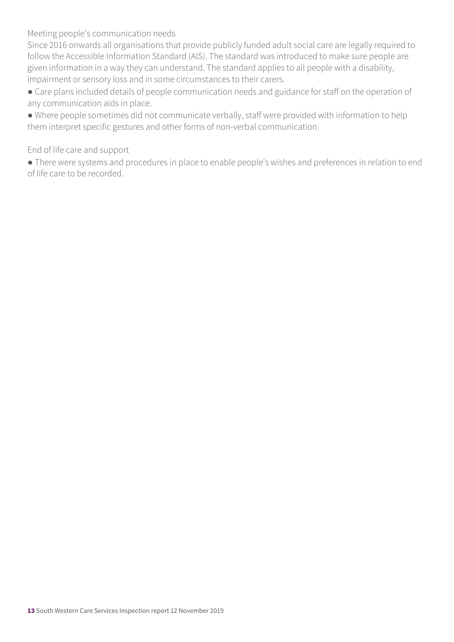Meeting people's communication needs

Since 2016 onwards all organisations that provide publicly funded adult social care are legally required to follow the Accessible Information Standard (AIS). The standard was introduced to make sure people are given information in a way they can understand. The standard applies to all people with a disability, impairment or sensory loss and in some circumstances to their carers.

● Care plans included details of people communication needs and guidance for staff on the operation of any communication aids in place.

● Where people sometimes did not communicate verbally, staff were provided with information to help them interpret specific gestures and other forms of non-verbal communication.

#### End of life care and support

● There were systems and procedures in place to enable people's wishes and preferences in relation to end of life care to be recorded.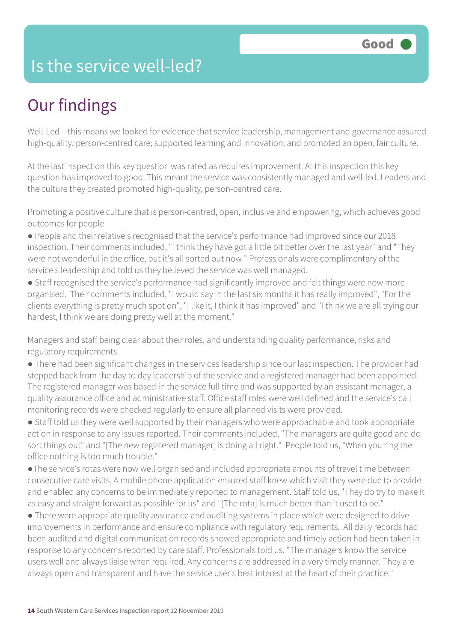### Is the service well-led?

## Our findings

Well-Led – this means we looked for evidence that service leadership, management and governance assured high-quality, person-centred care; supported learning and innovation; and promoted an open, fair culture.

At the last inspection this key question was rated as requires improvement. At this inspection this key question has improved to good. This meant the service was consistently managed and well-led. Leaders and the culture they created promoted high-quality, person-centred care.

Promoting a positive culture that is person-centred, open, inclusive and empowering, which achieves good outcomes for people

● People and their relative's recognised that the service's performance had improved since our 2018 inspection. Their comments included, "I think they have got a little bit better over the last year" and "They were not wonderful in the office, but it's all sorted out now." Professionals were complimentary of the service's leadership and told us they believed the service was well managed.

● Staff recognised the service's performance had significantly improved and felt things were now more organised. Their comments included, "I would say in the last six months it has really improved", "For the clients everything is pretty much spot on", "I like it, I think it has improved" and "I think we are all trying our hardest, I think we are doing pretty well at the moment."

Managers and staff being clear about their roles, and understanding quality performance, risks and regulatory requirements

● There had been significant changes in the services leadership since our last inspection. The provider had stepped back from the day to day leadership of the service and a registered manager had been appointed. The registered manager was based in the service full time and was supported by an assistant manager, a quality assurance office and administrative staff. Office staff roles were well defined and the service's call monitoring records were checked regularly to ensure all planned visits were provided.

• Staff told us they were well supported by their managers who were approachable and took appropriate action in response to any issues reported. Their comments included, "The managers are quite good and do sort things out" and "[The new registered manager] is doing all right." People told us, "When you ring the office nothing is too much trouble."

●The service's rotas were now well organised and included appropriate amounts of travel time between consecutive care visits. A mobile phone application ensured staff knew which visit they were due to provide and enabled any concerns to be immediately reported to management. Staff told us, "They do try to make it as easy and straight forward as possible for us" and "[The rota] is much better than it used to be."

● There were appropriate quality assurance and auditing systems in place which were designed to drive improvements in performance and ensure compliance with regulatory requirements. All daily records had been audited and digital communication records showed appropriate and timely action had been taken in response to any concerns reported by care staff. Professionals told us, "The managers know the service users well and always liaise when required. Any concerns are addressed in a very timely manner. They are always open and transparent and have the service user's best interest at the heart of their practice."